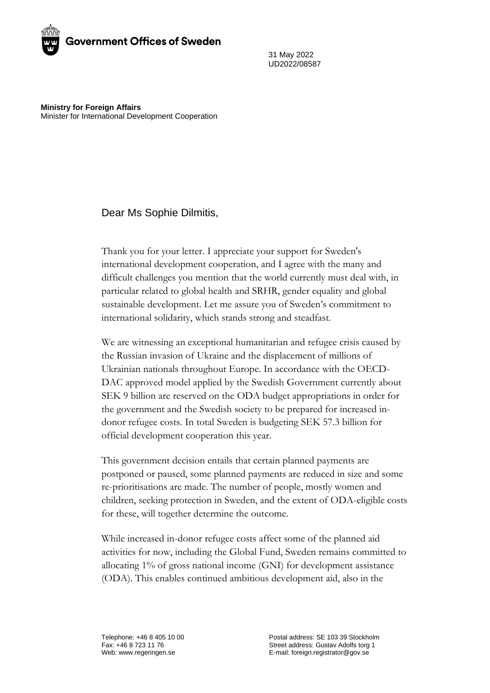

31 May 2022 UD2022/08587

**Ministry for Foreign Affairs** Minister for International Development Cooperation

## Dear Ms Sophie Dilmitis,

Thank you for your letter. I appreciate your support for Sweden's international development cooperation, and I agree with the many and difficult challenges you mention that the world currently must deal with, in particular related to global health and SRHR, gender equality and global sustainable development. Let me assure you of Sweden's commitment to international solidarity, which stands strong and steadfast.

We are witnessing an exceptional humanitarian and refugee crisis caused by the Russian invasion of Ukraine and the displacement of millions of Ukrainian nationals throughout Europe. In accordance with the OECD-DAC approved model applied by the Swedish Government currently about SEK 9 billion are reserved on the ODA budget appropriations in order for the government and the Swedish society to be prepared for increased indonor refugee costs. In total Sweden is budgeting SEK 57.3 billion for official development cooperation this year.

This government decision entails that certain planned payments are postponed or paused, some planned payments are reduced in size and some re-prioritisations are made. The number of people, mostly women and children, seeking protection in Sweden, and the extent of ODA-eligible costs for these, will together determine the outcome.

While increased in-donor refugee costs affect some of the planned aid activities for now, including the Global Fund, Sweden remains committed to allocating 1% of gross national income (GNI) for development assistance (ODA). This enables continued ambitious development aid, also in the